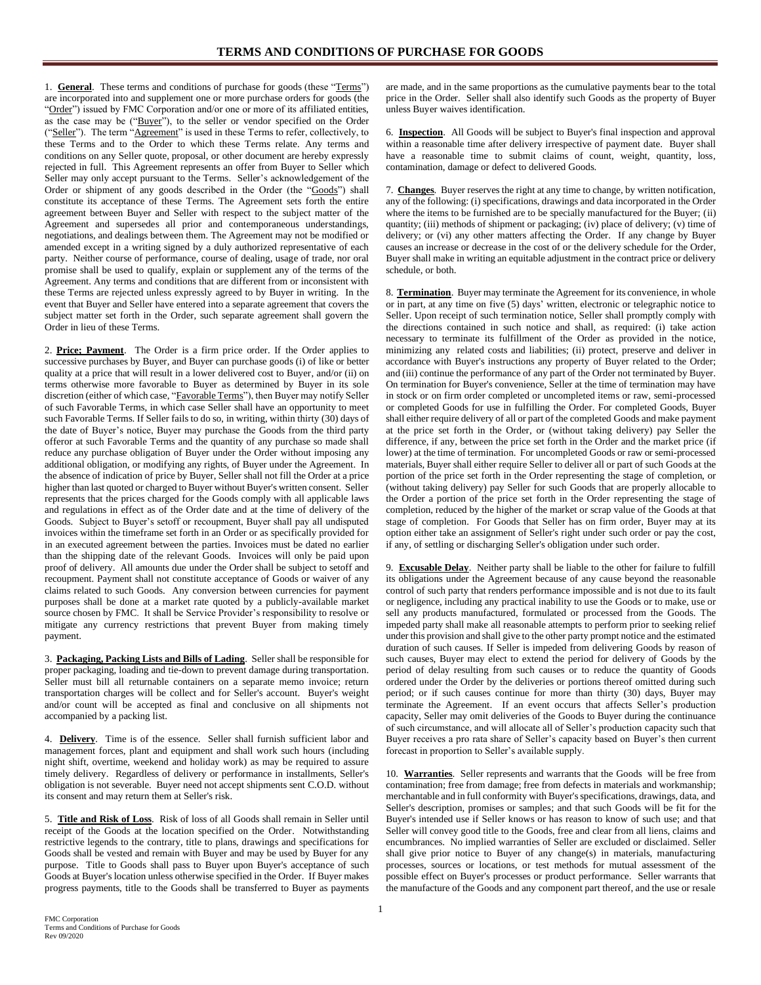1. **General**. These terms and conditions of purchase for goods (these "Terms") are incorporated into and supplement one or more purchase orders for goods (the "Order") issued by FMC Corporation and/or one or more of its affiliated entities, as the case may be ("Buyer"), to the seller or vendor specified on the Order ("Seller"). The term "Agreement" is used in these Terms to refer, collectively, to these Terms and to the Order to which these Terms relate. Any terms and conditions on any Seller quote, proposal, or other document are hereby expressly rejected in full. This Agreement represents an offer from Buyer to Seller which Seller may only accept pursuant to the Terms. Seller's acknowledgement of the Order or shipment of any goods described in the Order (the "Goods") shall constitute its acceptance of these Terms. The Agreement sets forth the entire agreement between Buyer and Seller with respect to the subject matter of the Agreement and supersedes all prior and contemporaneous understandings, negotiations, and dealings between them. The Agreement may not be modified or amended except in a writing signed by a duly authorized representative of each party. Neither course of performance, course of dealing, usage of trade, nor oral promise shall be used to qualify, explain or supplement any of the terms of the Agreement. Any terms and conditions that are different from or inconsistent with these Terms are rejected unless expressly agreed to by Buyer in writing. In the event that Buyer and Seller have entered into a separate agreement that covers the subject matter set forth in the Order, such separate agreement shall govern the Order in lieu of these Terms.

2. **Price; Payment**. The Order is a firm price order. If the Order applies to successive purchases by Buyer, and Buyer can purchase goods (i) of like or better quality at a price that will result in a lower delivered cost to Buyer, and/or (ii) on terms otherwise more favorable to Buyer as determined by Buyer in its sole discretion (either of which case, "Favorable Terms"), then Buyer may notify Seller of such Favorable Terms, in which case Seller shall have an opportunity to meet such Favorable Terms. If Seller fails to do so, in writing, within thirty (30) days of the date of Buyer's notice, Buyer may purchase the Goods from the third party offeror at such Favorable Terms and the quantity of any purchase so made shall reduce any purchase obligation of Buyer under the Order without imposing any additional obligation, or modifying any rights, of Buyer under the Agreement. In the absence of indication of price by Buyer, Seller shall not fill the Order at a price higher than last quoted or charged to Buyer without Buyer's written consent. Seller represents that the prices charged for the Goods comply with all applicable laws and regulations in effect as of the Order date and at the time of delivery of the Goods. Subject to Buyer's setoff or recoupment, Buyer shall pay all undisputed invoices within the timeframe set forth in an Order or as specifically provided for in an executed agreement between the parties. Invoices must be dated no earlier than the shipping date of the relevant Goods. Invoices will only be paid upon proof of delivery. All amounts due under the Order shall be subject to setoff and recoupment. Payment shall not constitute acceptance of Goods or waiver of any claims related to such Goods. Any conversion between currencies for payment purposes shall be done at a market rate quoted by a publicly-available market source chosen by FMC. It shall be Service Provider's responsibility to resolve or mitigate any currency restrictions that prevent Buyer from making timely payment.

3. **Packaging, Packing Lists and Bills of Lading**. Seller shall be responsible for proper packaging, loading and tie-down to prevent damage during transportation. Seller must bill all returnable containers on a separate memo invoice; return transportation charges will be collect and for Seller's account. Buyer's weight and/or count will be accepted as final and conclusive on all shipments not accompanied by a packing list.

4. **Delivery**. Time is of the essence. Seller shall furnish sufficient labor and management forces, plant and equipment and shall work such hours (including night shift, overtime, weekend and holiday work) as may be required to assure timely delivery. Regardless of delivery or performance in installments, Seller's obligation is not severable. Buyer need not accept shipments sent C.O.D. without its consent and may return them at Seller's risk.

5. **Title and Risk of Loss**. Risk of loss of all Goods shall remain in Seller until receipt of the Goods at the location specified on the Order. Notwithstanding restrictive legends to the contrary, title to plans, drawings and specifications for Goods shall be vested and remain with Buyer and may be used by Buyer for any purpose. Title to Goods shall pass to Buyer upon Buyer's acceptance of such Goods at Buyer's location unless otherwise specified in the Order. If Buyer makes progress payments, title to the Goods shall be transferred to Buyer as payments

are made, and in the same proportions as the cumulative payments bear to the total price in the Order. Seller shall also identify such Goods as the property of Buyer unless Buyer waives identification.

6. **Inspection**. All Goods will be subject to Buyer's final inspection and approval within a reasonable time after delivery irrespective of payment date. Buyer shall have a reasonable time to submit claims of count, weight, quantity, loss, contamination, damage or defect to delivered Goods.

7. **Changes**. Buyer reserves the right at any time to change, by written notification, any of the following: (i) specifications, drawings and data incorporated in the Order where the items to be furnished are to be specially manufactured for the Buyer; (ii) quantity; (iii) methods of shipment or packaging; (iv) place of delivery; (v) time of delivery; or (vi) any other matters affecting the Order. If any change by Buyer causes an increase or decrease in the cost of or the delivery schedule for the Order, Buyer shall make in writing an equitable adjustment in the contract price or delivery schedule, or both.

8. **Termination**. Buyer may terminate the Agreement for its convenience, in whole or in part, at any time on five (5) days' written, electronic or telegraphic notice to Seller. Upon receipt of such termination notice, Seller shall promptly comply with the directions contained in such notice and shall, as required: (i) take action necessary to terminate its fulfillment of the Order as provided in the notice, minimizing any related costs and liabilities; (ii) protect, preserve and deliver in accordance with Buyer's instructions any property of Buyer related to the Order; and (iii) continue the performance of any part of the Order not terminated by Buyer. On termination for Buyer's convenience, Seller at the time of termination may have in stock or on firm order completed or uncompleted items or raw, semi-processed or completed Goods for use in fulfilling the Order. For completed Goods, Buyer shall either require delivery of all or part of the completed Goods and make payment at the price set forth in the Order, or (without taking delivery) pay Seller the difference, if any, between the price set forth in the Order and the market price (if lower) at the time of termination. For uncompleted Goods or raw or semi-processed materials, Buyer shall either require Seller to deliver all or part of such Goods at the portion of the price set forth in the Order representing the stage of completion, or (without taking delivery) pay Seller for such Goods that are properly allocable to the Order a portion of the price set forth in the Order representing the stage of completion, reduced by the higher of the market or scrap value of the Goods at that stage of completion. For Goods that Seller has on firm order, Buyer may at its option either take an assignment of Seller's right under such order or pay the cost, if any, of settling or discharging Seller's obligation under such order.

9. **Excusable Delay**. Neither party shall be liable to the other for failure to fulfill its obligations under the Agreement because of any cause beyond the reasonable control of such party that renders performance impossible and is not due to its fault or negligence, including any practical inability to use the Goods or to make, use or sell any products manufactured, formulated or processed from the Goods. The impeded party shall make all reasonable attempts to perform prior to seeking relief under this provision and shall give to the other party prompt notice and the estimated duration of such causes. If Seller is impeded from delivering Goods by reason of such causes, Buyer may elect to extend the period for delivery of Goods by the period of delay resulting from such causes or to reduce the quantity of Goods ordered under the Order by the deliveries or portions thereof omitted during such period; or if such causes continue for more than thirty (30) days, Buyer may terminate the Agreement. If an event occurs that affects Seller's production capacity, Seller may omit deliveries of the Goods to Buyer during the continuance of such circumstance, and will allocate all of Seller's production capacity such that Buyer receives a pro rata share of Seller's capacity based on Buyer's then current forecast in proportion to Seller's available supply.

10. **Warranties**. Seller represents and warrants that the Goods will be free from contamination; free from damage; free from defects in materials and workmanship; merchantable and in full conformity with Buyer's specifications, drawings, data, and Seller's description, promises or samples; and that such Goods will be fit for the Buyer's intended use if Seller knows or has reason to know of such use; and that Seller will convey good title to the Goods, free and clear from all liens, claims and encumbrances. No implied warranties of Seller are excluded or disclaimed. Seller shall give prior notice to Buyer of any change(s) in materials, manufacturing processes, sources or locations, or test methods for mutual assessment of the possible effect on Buyer's processes or product performance. Seller warrants that the manufacture of the Goods and any component part thereof, and the use or resale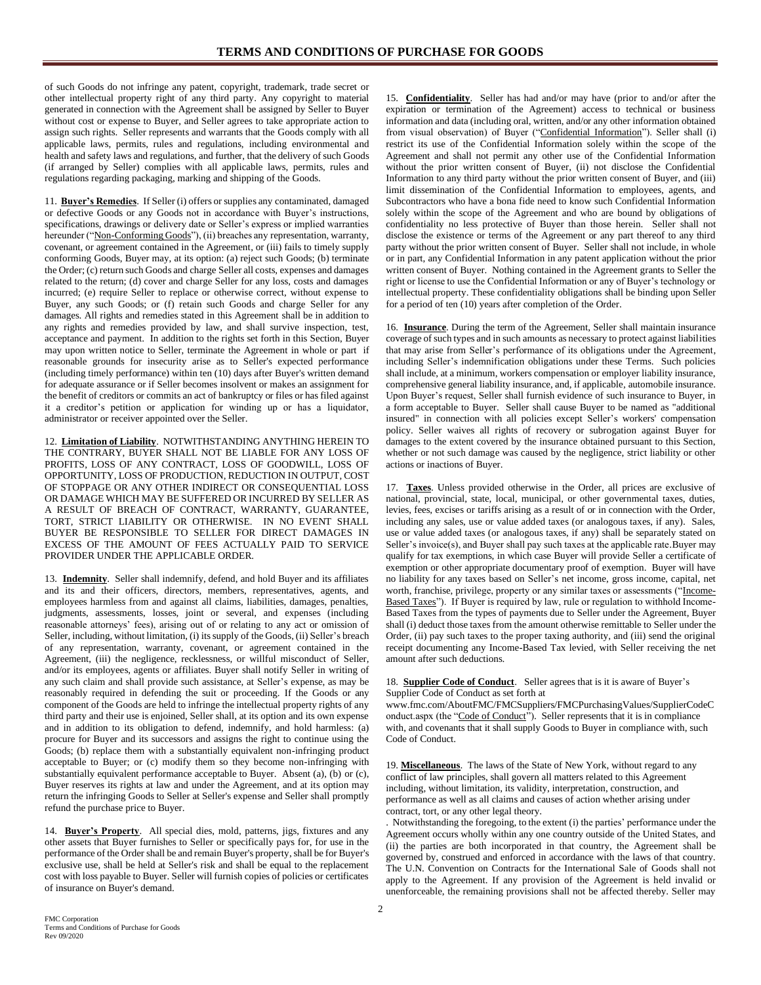of such Goods do not infringe any patent, copyright, trademark, trade secret or other intellectual property right of any third party. Any copyright to material generated in connection with the Agreement shall be assigned by Seller to Buyer without cost or expense to Buyer, and Seller agrees to take appropriate action to assign such rights. Seller represents and warrants that the Goods comply with all applicable laws, permits, rules and regulations, including environmental and health and safety laws and regulations, and further, that the delivery of such Goods (if arranged by Seller) complies with all applicable laws, permits, rules and regulations regarding packaging, marking and shipping of the Goods.

11. **Buyer's Remedies**. If Seller (i) offers or supplies any contaminated, damaged or defective Goods or any Goods not in accordance with Buyer's instructions, specifications, drawings or delivery date or Seller's express or implied warranties hereunder ("Non-Conforming Goods"), (ii) breaches any representation, warranty, covenant, or agreement contained in the Agreement, or (iii) fails to timely supply conforming Goods, Buyer may, at its option: (a) reject such Goods; (b) terminate the Order; (c) return such Goods and charge Seller all costs, expenses and damages related to the return; (d) cover and charge Seller for any loss, costs and damages incurred; (e) require Seller to replace or otherwise correct, without expense to Buyer, any such Goods; or (f) retain such Goods and charge Seller for any damages. All rights and remedies stated in this Agreement shall be in addition to any rights and remedies provided by law, and shall survive inspection, test, acceptance and payment. In addition to the rights set forth in this Section, Buyer may upon written notice to Seller, terminate the Agreement in whole or part if reasonable grounds for insecurity arise as to Seller's expected performance (including timely performance) within ten (10) days after Buyer's written demand for adequate assurance or if Seller becomes insolvent or makes an assignment for the benefit of creditors or commits an act of bankruptcy or files or has filed against it a creditor's petition or application for winding up or has a liquidator, administrator or receiver appointed over the Seller.

12. **Limitation of Liability**. NOTWITHSTANDING ANYTHING HEREIN TO THE CONTRARY, BUYER SHALL NOT BE LIABLE FOR ANY LOSS OF PROFITS, LOSS OF ANY CONTRACT, LOSS OF GOODWILL, LOSS OF OPPORTUNITY, LOSS OF PRODUCTION, REDUCTION IN OUTPUT, COST OF STOPPAGE OR ANY OTHER INDIRECT OR CONSEQUENTIAL LOSS OR DAMAGE WHICH MAY BE SUFFERED OR INCURRED BY SELLER AS A RESULT OF BREACH OF CONTRACT, WARRANTY, GUARANTEE, TORT, STRICT LIABILITY OR OTHERWISE. IN NO EVENT SHALL BUYER BE RESPONSIBLE TO SELLER FOR DIRECT DAMAGES IN EXCESS OF THE AMOUNT OF FEES ACTUALLY PAID TO SERVICE PROVIDER UNDER THE APPLICABLE ORDER.

13. **Indemnity**. Seller shall indemnify, defend, and hold Buyer and its affiliates and its and their officers, directors, members, representatives, agents, and employees harmless from and against all claims, liabilities, damages, penalties, judgments, assessments, losses, joint or several, and expenses (including reasonable attorneys' fees), arising out of or relating to any act or omission of Seller, including, without limitation, (i) its supply of the Goods, (ii) Seller's breach of any representation, warranty, covenant, or agreement contained in the Agreement, (iii) the negligence, recklessness, or willful misconduct of Seller, and/or its employees, agents or affiliates. Buyer shall notify Seller in writing of any such claim and shall provide such assistance, at Seller's expense, as may be reasonably required in defending the suit or proceeding. If the Goods or any component of the Goods are held to infringe the intellectual property rights of any third party and their use is enjoined, Seller shall, at its option and its own expense and in addition to its obligation to defend, indemnify, and hold harmless: (a) procure for Buyer and its successors and assigns the right to continue using the Goods; (b) replace them with a substantially equivalent non-infringing product acceptable to Buyer; or (c) modify them so they become non-infringing with substantially equivalent performance acceptable to Buyer. Absent (a), (b) or (c), Buyer reserves its rights at law and under the Agreement, and at its option may return the infringing Goods to Seller at Seller's expense and Seller shall promptly refund the purchase price to Buyer.

14. **Buyer's Property**. All special dies, mold, patterns, jigs, fixtures and any other assets that Buyer furnishes to Seller or specifically pays for, for use in the performance of the Order shall be and remain Buyer's property, shall be for Buyer's exclusive use, shall be held at Seller's risk and shall be equal to the replacement cost with loss payable to Buyer. Seller will furnish copies of policies or certificates of insurance on Buyer's demand.

15. **Confidentiality**. Seller has had and/or may have (prior to and/or after the expiration or termination of the Agreement) access to technical or business information and data (including oral, written, and/or any other information obtained from visual observation) of Buyer ("Confidential Information"). Seller shall (i) restrict its use of the Confidential Information solely within the scope of the Agreement and shall not permit any other use of the Confidential Information without the prior written consent of Buyer, (ii) not disclose the Confidential Information to any third party without the prior written consent of Buyer, and (iii) limit dissemination of the Confidential Information to employees, agents, and Subcontractors who have a bona fide need to know such Confidential Information solely within the scope of the Agreement and who are bound by obligations of confidentiality no less protective of Buyer than those herein. Seller shall not disclose the existence or terms of the Agreement or any part thereof to any third party without the prior written consent of Buyer. Seller shall not include, in whole or in part, any Confidential Information in any patent application without the prior written consent of Buyer. Nothing contained in the Agreement grants to Seller the right or license to use the Confidential Information or any of Buyer's technology or intellectual property. These confidentiality obligations shall be binding upon Seller for a period of ten (10) years after completion of the Order.

16. **Insurance**. During the term of the Agreement, Seller shall maintain insurance coverage of such types and in such amounts as necessary to protect against liabilities that may arise from Seller's performance of its obligations under the Agreement, including Seller's indemnification obligations under these Terms. Such policies shall include, at a minimum, workers compensation or employer liability insurance, comprehensive general liability insurance, and, if applicable, automobile insurance. Upon Buyer's request, Seller shall furnish evidence of such insurance to Buyer, in a form acceptable to Buyer. Seller shall cause Buyer to be named as "additional insured" in connection with all policies except Seller's workers' compensation policy. Seller waives all rights of recovery or subrogation against Buyer for damages to the extent covered by the insurance obtained pursuant to this Section, whether or not such damage was caused by the negligence, strict liability or other actions or inactions of Buyer.

17. **Taxes**. Unless provided otherwise in the Order, all prices are exclusive of national, provincial, state, local, municipal, or other governmental taxes, duties, levies, fees, excises or tariffs arising as a result of or in connection with the Order, including any sales, use or value added taxes (or analogous taxes, if any). Sales, use or value added taxes (or analogous taxes, if any) shall be separately stated on Seller's invoice(s), and Buyer shall pay such taxes at the applicable rate.Buyer may qualify for tax exemptions, in which case Buyer will provide Seller a certificate of exemption or other appropriate documentary proof of exemption. Buyer will have no liability for any taxes based on Seller's net income, gross income, capital, net worth, franchise, privilege, property or any similar taxes or assessments ("Income-Based Taxes"). If Buyer is required by law, rule or regulation to withhold Income-Based Taxes from the types of payments due to Seller under the Agreement, Buyer shall (i) deduct those taxes from the amount otherwise remittable to Seller under the Order, (ii) pay such taxes to the proper taxing authority, and (iii) send the original receipt documenting any Income-Based Tax levied, with Seller receiving the net amount after such deductions.

18. **Supplier Code of Conduct**. Seller agrees that is it is aware of Buyer's Supplier Code of Conduct as set forth at

www.fmc.com/AboutFMC/FMCSuppliers/FMCPurchasingValues/SupplierCodeC onduct.aspx (the "Code of Conduct"). Seller represents that it is in compliance with, and covenants that it shall supply Goods to Buyer in compliance with, such Code of Conduct.

19. **Miscellaneous**. The laws of the State of New York, without regard to any conflict of law principles, shall govern all matters related to this Agreement including, without limitation, its validity, interpretation, construction, and performance as well as all claims and causes of action whether arising under contract, tort, or any other legal theory.

. Notwithstanding the foregoing, to the extent (i) the parties' performance under the Agreement occurs wholly within any one country outside of the United States, and (ii) the parties are both incorporated in that country, the Agreement shall be governed by, construed and enforced in accordance with the laws of that country. The U.N. Convention on Contracts for the International Sale of Goods shall not apply to the Agreement. If any provision of the Agreement is held invalid or unenforceable, the remaining provisions shall not be affected thereby. Seller may